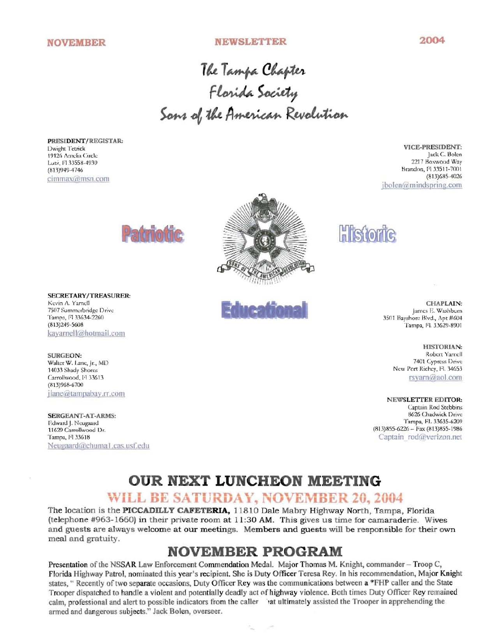#### **NEWSLETTER**

2004

The Tampa Chapter<br>Florida Society<br>Sons of the American Revolution

PRESIDENT/REGISTAR: Dwight Tetrick 19126 Amelia Circle Lutz, Fl 33558-4939  $(813)949 - 4746$ cimmax@msn.com

VICE-PRESIDENT: Jack C. Bolen 2217 Boxwood Way Brandon, Fl 33511-7001  $(813)$ 685-4026 ibolen@mindspring.com





**SURGEON:** Walter W. Lane, Jr., MD 14033 Shady Shores Carrollwood, 14 33613  $(813)968-6700$ jlane@tampabay.rr.com

**SERGEANT-AT-ARMS:** Edward J. Neugaard 11629 Carrollwood Dr. Tampa, Fl 33618 Neugaard@chuma1.cas.usf.edu





**Histor** 

CHAPLAIN: James E. Washburn 3501 Bayshore Blvd., Apt #604 Tampa, Fl. 33629-8901

> HISTORIAN: Robert Yamell 7401 Cypress Drive New Port Richey, Fl. 34653 rsyarn@aol.com

NEWSLETTER EDITOR: Captain Rod Stebbins 8626 Chadwick Drive Tampa, FI. 33635-6209  $(813)855-6226 - Fax (813)855-1986$ Captain rod@verizon.net

# **OUR NEXT LUNCHEON MEETING**

## WILL BE SATURDAY, NOVEMBER 20, 2004

The location is the PICCADILLY CAFETERIA, 11810 Dale Mabry Highway North, Tampa, Florida (telephone #963-1660) in their private room at 11:30 AM. This gives us time for camaraderie. Wives and guests are always welcome at our meetings. Members and guests will be responsible for their own meal and gratuity.

## **NOVEMBER PROGRAM**

Presentation of the NSSAR Law Enforcement Commendation Medal. Major Thomas M. Knight, commander - Troop C, Florida Highway Patrol, nominated this year's recipient. She is Duty Officer Teresa Rey. In his recommendation, Major Knight states, "Recently of two separate occasions, Duty Officer Rey was the communications between a \*FHP caller and the State Trooper dispatched to handle a violent and potentially deadly act of highway violence. Both times Duty Officer Rey remained calm, professional and alert to possible indicators from the caller iat ultimately assisted the Trooper in apprehending the armed and dangerous subjects." Jack Bolen, overseer.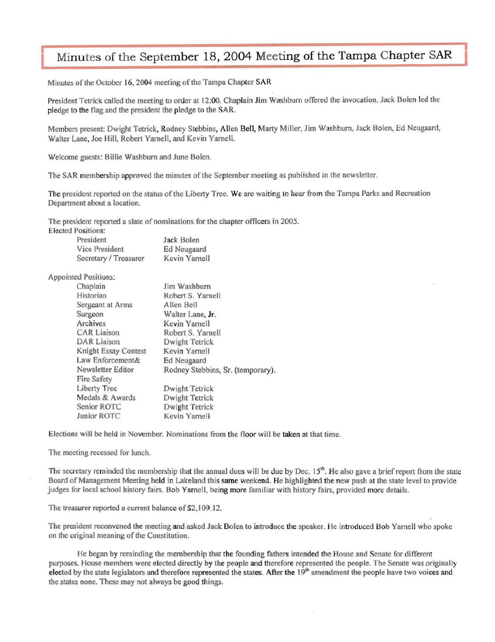### Minutes of the September 18, 2004 Meeting of the Tampa Chapter SAR

Minutes of the October 16, 2004 meeting of the Tampa Chapter SAR

President Tetrick called the meeting to order at 12:00. Chaplain Jim Washburn offered the invocation. Jack Bolen led the pledge to the flag and the president the pledge to the SAR.

Members present: Dwight Tetrick, Rodney Stebbins, Allen Bell, Marty Miller, Jim Washburn, Jack Bolen, Ed Neugaard, Walter Lane, Joe Hill, Robert Yarnell, and Kevin Yarnell.

Welcome guests: Billie Washburn and June Bolen.

The SAR membership approved the minutes of the September meeting as published in the newsletter.

The president reported on the status of the Liberty Tree. We are waiting to hear from the Tampa Parks and Recreation Department about a location.

The president reported a slate of nominations for the chapter officers in 2005.

**Elected Positions:** 

| President             | Jack Bolen         |
|-----------------------|--------------------|
| Vice President        | <b>Ed Neugaard</b> |
| Secretary / Treasurer | Kevin Yamell       |

Appointed Positions:

| Chaplain             | Jim Washburn                      |  |
|----------------------|-----------------------------------|--|
| Historian            | Robert S. Yarnell                 |  |
| Sergeant at Arms     | Allen Bell                        |  |
| Surgeon              | Walter Lane, Jr.                  |  |
| Archives             | Kevin Yarnell                     |  |
| <b>CAR Liaison</b>   | Robert S. Yarnell                 |  |
| <b>DAR</b> Liaison   | Dwight Tetrick                    |  |
| Knight Essay Contest | Kevin Yarnell                     |  |
| Law Enforcement&     | Ed Neugaard                       |  |
| Newsletter Editor    | Rodney Stebbins, Sr. (temporary). |  |
| <b>Fire Safety</b>   |                                   |  |
| Liberty Tree         | Dwight Tetrick                    |  |
| Medals & Awards      | Dwight Tetrick                    |  |
| Senior ROTC          | Dwight Tetrick                    |  |
| Junior ROTC          | Kevin Yarnell                     |  |

Elections will be held in November. Nominations from the floor will be taken at that time.

The meeting recessed for lunch.

The secretary reminded the membership that the annual dues will be due by Dec.  $15<sup>th</sup>$ . He also gave a brief report from the state Board of Management Meeting held in Lakeland this same weekend. He highlighted the new push at the state level to provide judges for local school history fairs. Bob Yarnell, being more familiar with history fairs, provided more details.

The treasurer reported a current balance of \$2,109.12.

The president reconvened the meeting and asked jack Bolen to introduce the speaker. He introduced Bob Yamell who spoke on the original meaning of the Constitution.

He began by reminding the membership that the founding fathers intended the House and Senate for different purposes. House members were elected directly by the people and therefore represented the people. The Senate was originally elected by the state legislators and therefore represented the states. After the  $19<sup>th</sup>$  amendment the people have two voices and the states none. These may not always be good things.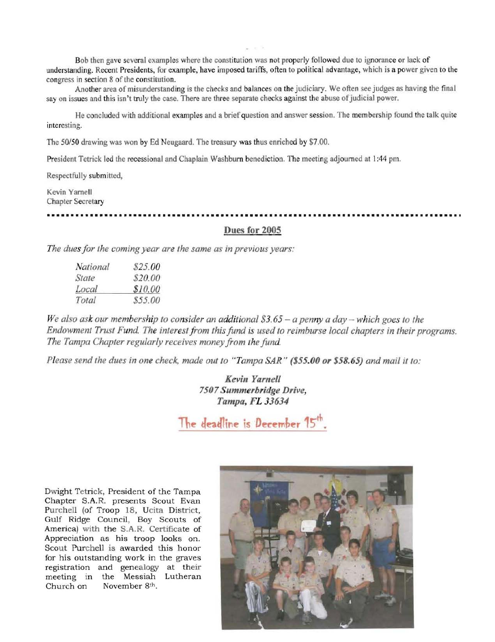Bob then gave several examples where the constitution was not properly followed due to ignorance or Jack of understanding. Recent Presidents, for example, have imposed tariffs, often to political advantage, which is a power given to the congress in section 8 of the constitution.

Another area of misunderstanding is the checks and balances on the judiciary. We often see judges as having the fmal say on issues and this isn't truly the case. There are three separate checks against the abuse of judicial power.

He concluded with additional examples and a brief question and answer session. The membership found the talk quite interesting.

The *50/50* drawing was won by Ed Neugaard. The treasury was thus enriched by \$7.00.

President Tetrick led the recessional and Chaplain Washburn benediction. The meeting adjourned at 1:44 pm.

Respectfully submitted,

Kevin Yarnell Chapter Secretary

**••••••••••••••••••••••••••••••••••••••••••••••••••••••••••••••••••••••••••••••••••••••** 

#### Dues for 2005

*The dues for the coming year are the same as in previous years:* 

| National | \$25.00 |
|----------|---------|
| State    | \$20.00 |
| Local    | \$10.00 |
| Total    | \$55.00 |

*We also ask our membership to consider an additional \$3.65 - a penny a day - which goes to the Endowment Trust Fund. The interestfrom this fund is used to reimburse local chapters in their programs. The Tampa Chapter regularly receives money from the fund.* 

*Please send the dues in one check, made out to "Tampa SAR" (\$55.00 or* \$58.65) *and mail it to:* 

*Kevin Yarnell 7507 Summerhridge Drive, Tampa, FL 33634* 

The deadline is December 15<sup>th</sup>.

Dwight Tetrick, President of the Tampa Chapter S.A.R. presents Scout Evan Purchell (of Troop 18, Ucita District, Gulf Ridge Council, Boy Scouts of America) with the S.A.R. Certificate of Appreciation as his troop looks on. Scout Purchell is awarded this honor for his outstanding work in the graves registration and genealogy at their meeting in the Messiah Lutheran Church on November 8<sup>th</sup>.